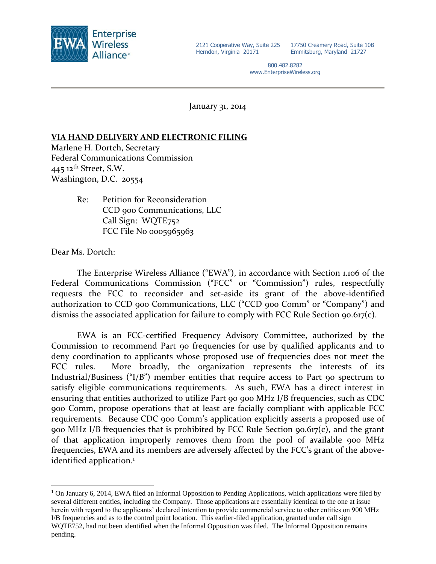

17750 Creamery Road, Suite 10B Emmitsburg, Maryland 21727

800.482.8282 www.EnterpriseWireless.org

January 31, 2014

## **VIA HAND DELIVERY AND ELECTRONIC FILING**

Marlene H. Dortch, Secretary Federal Communications Commission 445 12<sup>th</sup> Street, S.W. Washington, D.C. 20554

> Re: Petition for Reconsideration CCD 900 Communications, LLC Call Sign: WQTE752 FCC File No 0005965963

Dear Ms. Dortch:

 $\overline{a}$ 

The Enterprise Wireless Alliance ("EWA"), in accordance with Section 1.106 of the Federal Communications Commission ("FCC" or "Commission") rules, respectfully requests the FCC to reconsider and set-aside its grant of the above-identified authorization to CCD 900 Communications, LLC ("CCD 900 Comm" or "Company") and dismiss the associated application for failure to comply with FCC Rule Section 90.617(c).

EWA is an FCC-certified Frequency Advisory Committee, authorized by the Commission to recommend Part 90 frequencies for use by qualified applicants and to deny coordination to applicants whose proposed use of frequencies does not meet the FCC rules. More broadly, the organization represents the interests of its Industrial/Business ("I/B") member entities that require access to Part 90 spectrum to satisfy eligible communications requirements. As such, EWA has a direct interest in ensuring that entities authorized to utilize Part 90 900 MHz I/B frequencies, such as CDC 900 Comm, propose operations that at least are facially compliant with applicable FCC requirements. Because CDC 900 Comm's application explicitly asserts a proposed use of 900 MHz I/B frequencies that is prohibited by FCC Rule Section 90.617(c), and the grant of that application improperly removes them from the pool of available 900 MHz frequencies, EWA and its members are adversely affected by the FCC's grant of the aboveidentified application.<sup>1</sup>

<sup>&</sup>lt;sup>1</sup> On January 6, 2014, EWA filed an Informal Opposition to Pending Applications, which applications were filed by several different entities, including the Company. Those applications are essentially identical to the one at issue herein with regard to the applicants' declared intention to provide commercial service to other entities on 900 MHz I/B frequencies and as to the control point location. This earlier-filed application, granted under call sign WQTE752, had not been identified when the Informal Opposition was filed. The Informal Opposition remains pending.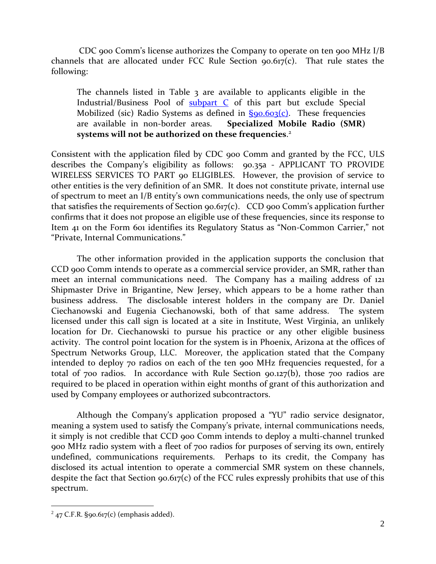CDC 900 Comm's license authorizes the Company to operate on ten 900 MHz I/B channels that are allocated under FCC Rule Section 90.617(c). That rule states the following:

The channels listed in Table 3 are available to applicants eligible in the Industrial/Business Pool of [subpart](http://telecomlaw.bna.com/terc/display/link_res.adp?fedfid=18137003&fname=cfr_47_90_spc&vname=comrgeref100) C of this part but exclude Special Mobilized (sic) Radio Systems as defined in  $\S{90.603(c)}$ . These frequencies are available in non-border areas. **Specialized Mobile Radio (SMR) systems will not be authorized on these frequencies**. 2

Consistent with the application filed by CDC 900 Comm and granted by the FCC, ULS describes the Company's eligibility as follows: 90.35a - APPLICANT TO PROVIDE WIRELESS SERVICES TO PART 90 ELIGIBLES. However, the provision of service to other entities is the very definition of an SMR. It does not constitute private, internal use of spectrum to meet an I/B entity's own communications needs, the only use of spectrum that satisfies the requirements of Section  $90.617(c)$ . CCD  $900$  Comm's application further confirms that it does not propose an eligible use of these frequencies, since its response to Item 41 on the Form 601 identifies its Regulatory Status as "Non-Common Carrier," not "Private, Internal Communications."

The other information provided in the application supports the conclusion that CCD 900 Comm intends to operate as a commercial service provider, an SMR, rather than meet an internal communications need. The Company has a mailing address of 121 Shipmaster Drive in Brigantine, New Jersey, which appears to be a home rather than business address. The disclosable interest holders in the company are Dr. Daniel Ciechanowski and Eugenia Ciechanowski, both of that same address. The system licensed under this call sign is located at a site in Institute, West Virginia, an unlikely location for Dr. Ciechanowski to pursue his practice or any other eligible business activity. The control point location for the system is in Phoenix, Arizona at the offices of Spectrum Networks Group, LLC. Moreover, the application stated that the Company intended to deploy 70 radios on each of the ten 900 MHz frequencies requested, for a total of 700 radios. In accordance with Rule Section 90.127(b), those 700 radios are required to be placed in operation within eight months of grant of this authorization and used by Company employees or authorized subcontractors.

Although the Company's application proposed a "YU" radio service designator, meaning a system used to satisfy the Company's private, internal communications needs, it simply is not credible that CCD 900 Comm intends to deploy a multi-channel trunked 900 MHz radio system with a fleet of 700 radios for purposes of serving its own, entirely undefined, communications requirements. Perhaps to its credit, the Company has disclosed its actual intention to operate a commercial SMR system on these channels, despite the fact that Section 90.617(c) of the FCC rules expressly prohibits that use of this spectrum.

 $\overline{a}$ 

 $2$  47 C.F.R. §90.617(c) (emphasis added).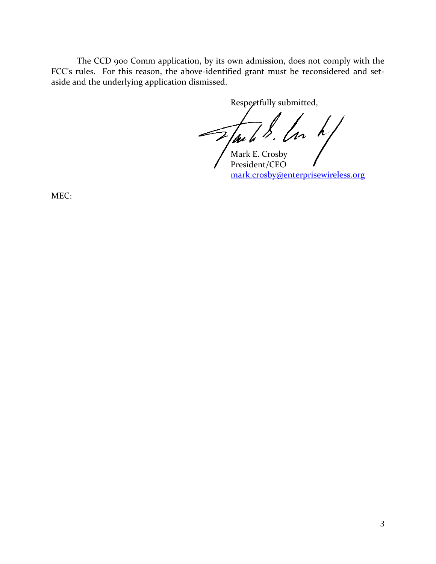The CCD 900 Comm application, by its own admission, does not comply with the FCC's rules. For this reason, the above-identified grant must be reconsidered and setaside and the underlying application dismissed.

Respectfully submitted,

Mark E. Crosby President/CEO [mark.crosby@enterprisewireless.org](mailto:mark.crosby@enterprisewireless.org)

MEC: